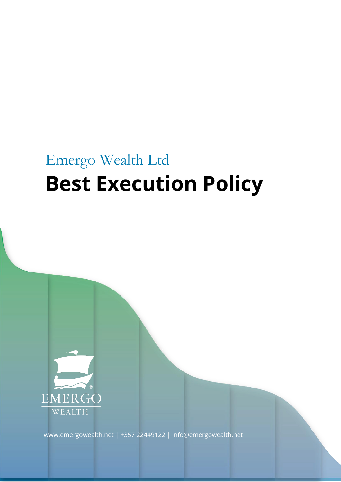# Emergo Wealth Ltd **Best Execution Policy**



[www.emergowealth.net](http://www.emergowealth.net/) | +357 22449122 | [info@emergowealth.net](mailto:info@emergowealth.net)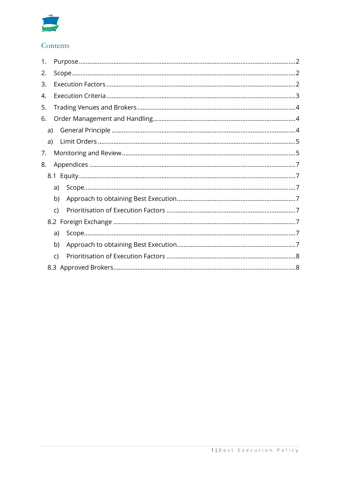

# Contents

| 1. |    |              |  |
|----|----|--------------|--|
| 2. |    |              |  |
| 3. |    |              |  |
| 4. |    |              |  |
| 5. |    |              |  |
| 6. |    |              |  |
|    | a) |              |  |
|    | a) |              |  |
| 7. |    |              |  |
| 8. |    |              |  |
|    |    |              |  |
|    |    | a)           |  |
|    |    | b)           |  |
|    |    | C)           |  |
|    |    |              |  |
|    |    | a)           |  |
|    |    | b)           |  |
|    |    | $\mathsf{C}$ |  |
|    |    |              |  |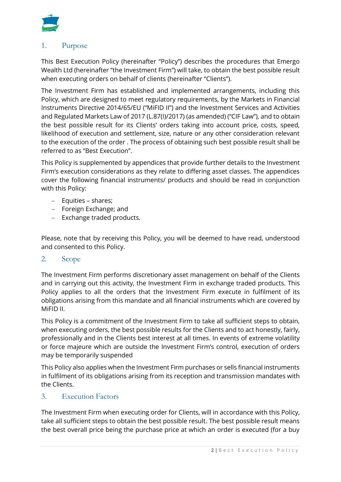

## <span id="page-2-0"></span>1. Purpose

This Best Execution Policy (hereinafter "Policy") describes the procedures that Emergo Wealth Ltd (hereinafter "the Investment Firm") will take, to obtain the best possible result when executing orders on behalf of clients (hereinafter "Clients").

The Investment Firm has established and implemented arrangements, including this Policy, which are designed to meet regulatory requirements, by the Markets in Financial Instruments Directive 2014/65/EU ("MiFID II") and the Investment Services and Activities and Regulated Markets Law of 2017 (L.87(I)/2017) (as amended) ("CIF Law"), and to obtain the best possible result for its Clients' orders taking into account price, costs, speed, likelihood of execution and settlement, size, nature or any other consideration relevant to the execution of the order . The process of obtaining such best possible result shall be referred to as "Best Execution".

This Policy is supplemented by appendices that provide further details to the Investment Firm's execution considerations as they relate to differing asset classes. The appendices cover the following financial instruments/ products and should be read in conjunction with this Policy:

- − Equities shares;
- − Foreign Exchange; and
- − Exchange traded products.

Please, note that by receiving this Policy, you will be deemed to have read, understood and consented to this Policy.

#### <span id="page-2-1"></span>2. Scope

The Investment Firm performs discretionary asset management on behalf of the Clients and in carrying out this activity, the Investment Firm in exchange traded products. This Policy applies to all the orders that the Investment Firm execute in fulfilment of its obligations arising from this mandate and all financial instruments which are covered by MiFID II.

This Policy is a commitment of the Investment Firm to take all sufficient steps to obtain, when executing orders, the best possible results for the Clients and to act honestly, fairly, professionally and in the Clients best interest at all times. In events of extreme volatility or force majeure which are outside the Investment Firm's control, execution of orders may be temporarily suspended

This Policy also applies when the Investment Firm purchases or sells financial instruments in fulfilment of its obligations arising from its reception and transmission mandates with the Clients.

#### <span id="page-2-2"></span>3. Execution Factors

The Investment Firm when executing order for Clients, will in accordance with this Policy, take all sufficient steps to obtain the best possible result. The best possible result means the best overall price being the purchase price at which an order is executed (for a buy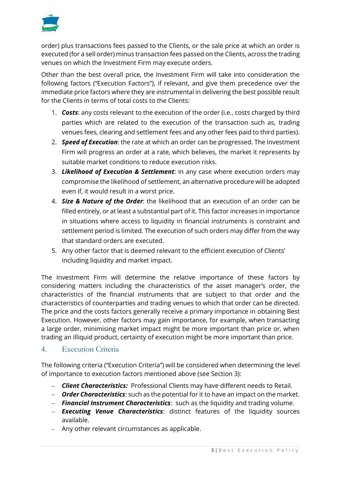

order) plus transactions fees passed to the Clients, or the sale price at which an order is executed (for a sell order) minus transaction fees passed on the Clients, across the trading venues on which the Investment Firm may execute orders.

Other than the best overall price, the Investment Firm will take into consideration the following factors ("Execution Factors"), if relevant, and give them precedence over the immediate price factors where they are instrumental in delivering the best possible result for the Clients in terms of total costs to the Clients:

- 1. *Costs*: any costs relevant to the execution of the order (i.e., costs charged by third parties which are related to the execution of the transaction such as, trading venues fees, clearing and settlement fees and any other fees paid to third parties).
- 2. *Speed of Execution*: the rate at which an order can be progressed. The Investment Firm will progress an order at a rate, which believes, the market it represents by suitable market conditions to reduce execution risks.
- 3. *Likelihood of Execution & Settlement*: in any case where execution orders may compromise the likelihood of settlement, an alternative procedure will be adopted even if, it would result in a worst price.
- 4. *Size & Nature of the Order*: the likelihood that an execution of an order can be filled entirely, or at least a substantial part of it. This factor increases in importance in situations where access to liquidity in financial instruments is constraint and settlement period is limited. The execution of such orders may differ from the way that standard orders are executed.
- 5. Any other factor that is deemed relevant to the efficient execution of Clients' including liquidity and market impact.

The Investment Firm will determine the relative importance of these factors by considering matters including the characteristics of the asset manager's order, the characteristics of the financial instruments that are subject to that order and the characteristics of counterparties and trading venues to which that order can be directed. The price and the costs factors generally receive a primary importance in obtaining Best Execution. However, other factors may gain importance, for example, when transacting a large order, minimising market impact might be more important than price or, when trading an illiquid product, certainty of execution might be more important than price.

# <span id="page-3-0"></span>4. Execution Criteria

The following criteria ("Execution Criteria") will be considered when determining the level of importance to execution factors mentioned above (see Section 3):

- − *Client Characteristics:* Professional Clients may have different needs to Retail.
- − *Order Characteristics*: such as the potential for it to have an impact on the market.
- − *Financial Instrument Characteristics*: such as the liquidity and trading volume.
- − *Executing Venue Characteristics*: distinct features of the liquidity sources available.
- − Any other relevant circumstances as applicable.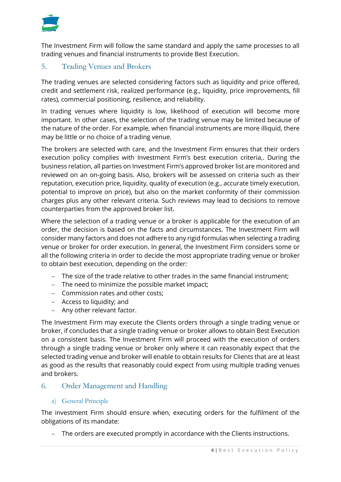

The Investment Firm will follow the same standard and apply the same processes to all trading venues and financial instruments to provide Best Execution.

# <span id="page-4-0"></span>5. Trading Venues and Brokers

The trading venues are selected considering factors such as liquidity and price offered, credit and settlement risk, realized performance (e.g., liquidity, price improvements, fill rates), commercial positioning, resilience, and reliability.

In trading venues where liquidity is low, likelihood of execution will become more important. In other cases, the selection of the trading venue may be limited because of the nature of the order. For example, when financial instruments are more illiquid, there may be little or no choice of a trading venue.

The brokers are selected with care, and the Investment Firm ensures that their orders execution policy complies with Investment Firm's best execution criteria,. During the business relation, all parties on Investment Firm's approved broker list are monitored and reviewed on an on-going basis. Also, brokers will be assessed on criteria such as their reputation, execution price, liquidity, quality of execution (e.g., accurate timely execution, potential to improve on price), but also on the market conformity of their commission charges plus any other relevant criteria. Such reviews may lead to decisions to remove counterparties from the approved broker list.

Where the selection of a trading venue or a broker is applicable for the execution of an order, the decision is based on the facts and circumstances. The Investment Firm will consider many factors and does not adhere to any rigid formulas when selecting a trading venue or broker for order execution. In general, the Investment Firm considers some or all the following criteria in order to decide the most appropriate trading venue or broker to obtain best execution, depending on the order:

- − The size of the trade relative to other trades in the same financial instrument;
- − The need to minimize the possible market impact;
- − Commission rates and other costs;
- − Access to liquidity; and
- − Any other relevant factor.

The Investment Firm may execute the Clients orders through a single trading venue or broker, if concludes that a single trading venue or broker allows to obtain Best Execution on a consistent basis. The Investment Firm will proceed with the execution of orders through a single trading venue or broker only where it can reasonably expect that the selected trading venue and broker will enable to obtain results for Clients that are at least as good as the results that reasonably could expect from using multiple trading venues and brokers.

#### <span id="page-4-1"></span>6. Order Management and Handling

#### <span id="page-4-2"></span>a) General Principle

The investment Firm should ensure when, executing orders for the fulfilment of the obligations of its mandate:

− The orders are executed promptly in accordance with the Clients instructions.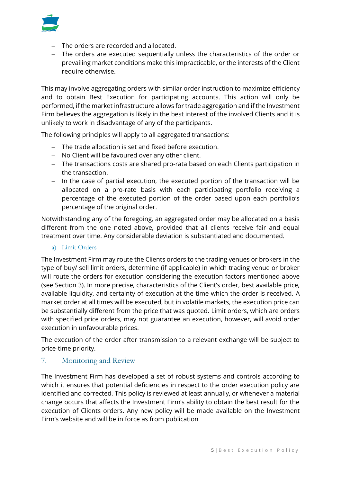

- − The orders are recorded and allocated.
- − The orders are executed sequentially unless the characteristics of the order or prevailing market conditions make this impracticable, or the interests of the Client require otherwise.

This may involve aggregating orders with similar order instruction to maximize efficiency and to obtain Best Execution for participating accounts. This action will only be performed, if the market infrastructure allows for trade aggregation and if the Investment Firm believes the aggregation is likely in the best interest of the involved Clients and it is unlikely to work in disadvantage of any of the participants.

The following principles will apply to all aggregated transactions:

- − The trade allocation is set and fixed before execution.
- − No Client will be favoured over any other client.
- − The transactions costs are shared pro-rata based on each Clients participation in the transaction.
- − In the case of partial execution, the executed portion of the transaction will be allocated on a pro-rate basis with each participating portfolio receiving a percentage of the executed portion of the order based upon each portfolio's percentage of the original order.

Notwithstanding any of the foregoing, an aggregated order may be allocated on a basis different from the one noted above, provided that all clients receive fair and equal treatment over time. Any considerable deviation is substantiated and documented.

#### <span id="page-5-0"></span>a) Limit Orders

The Investment Firm may route the Clients orders to the trading venues or brokers in the type of buy/ sell limit orders, determine (if applicable) in which trading venue or broker will route the orders for execution considering the execution factors mentioned above (see Section 3). In more precise, characteristics of the Client's order, best available price, available liquidity, and certainty of execution at the time which the order is received. A market order at all times will be executed, but in volatile markets, the execution price can be substantially different from the price that was quoted. Limit orders, which are orders with specified price orders, may not guarantee an execution, however, will avoid order execution in unfavourable prices.

The execution of the order after transmission to a relevant exchange will be subject to price-time priority.

# <span id="page-5-1"></span>7. Monitoring and Review

The Investment Firm has developed a set of robust systems and controls according to which it ensures that potential deficiencies in respect to the order execution policy are identified and corrected. This policy is reviewed at least annually, or whenever a material change occurs that affects the Investment Firm's ability to obtain the best result for the execution of Clients orders. Any new policy will be made available on the Investment Firm's website and will be in force as from publication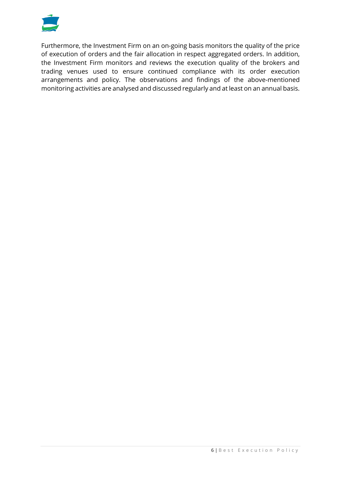

Furthermore, the Investment Firm on an on-going basis monitors the quality of the price of execution of orders and the fair allocation in respect aggregated orders. In addition, the Investment Firm monitors and reviews the execution quality of the brokers and trading venues used to ensure continued compliance with its order execution arrangements and policy. The observations and findings of the above-mentioned monitoring activities are analysed and discussed regularly and at least on an annual basis.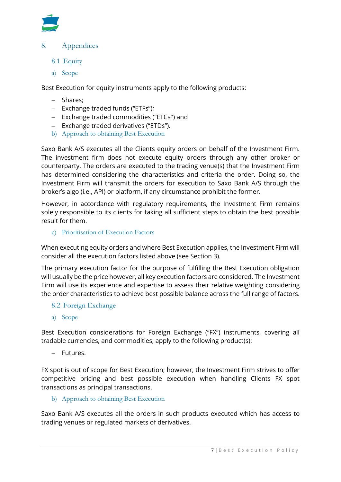

## <span id="page-7-0"></span>8. Appendices

- <span id="page-7-1"></span>8.1 Equity
- <span id="page-7-2"></span>a) Scope

Best Execution for equity instruments apply to the following products:

- − Shares;
- − Exchange traded funds ("ETFs");
- − Exchange traded commodities ("ETCs") and
- − Exchange traded derivatives ("ETDs").
- <span id="page-7-3"></span>b) Approach to obtaining Best Execution

Saxo Bank A/S executes all the Clients equity orders on behalf of the Investment Firm. The investment firm does not execute equity orders through any other broker or counterparty. The orders are executed to the trading venue(s) that the Investment Firm has determined considering the characteristics and criteria the order. Doing so, the Investment Firm will transmit the orders for execution to Saxo Bank A/S through the broker's algo (i.e., API) or platform, if any circumstance prohibit the former.

However, in accordance with regulatory requirements, the Investment Firm remains solely responsible to its clients for taking all sufficient steps to obtain the best possible result for them.

<span id="page-7-4"></span>c) Prioritisation of Execution Factors

When executing equity orders and where Best Execution applies, the Investment Firm will consider all the execution factors listed above (see Section 3).

The primary execution factor for the purpose of fulfilling the Best Execution obligation will usually be the price however, all key execution factors are considered. The Investment Firm will use its experience and expertise to assess their relative weighting considering the order characteristics to achieve best possible balance across the full range of factors.

- <span id="page-7-5"></span>8.2 Foreign Exchange
- <span id="page-7-6"></span>a) Scope

Best Execution considerations for Foreign Exchange ("FX") instruments, covering all tradable currencies, and commodities, apply to the following product(s):

− Futures.

FX spot is out of scope for Best Execution; however, the Investment Firm strives to offer competitive pricing and best possible execution when handling Clients FX spot transactions as principal transactions.

<span id="page-7-7"></span>b) Approach to obtaining Best Execution

Saxo Bank A/S executes all the orders in such products executed which has access to trading venues or regulated markets of derivatives.